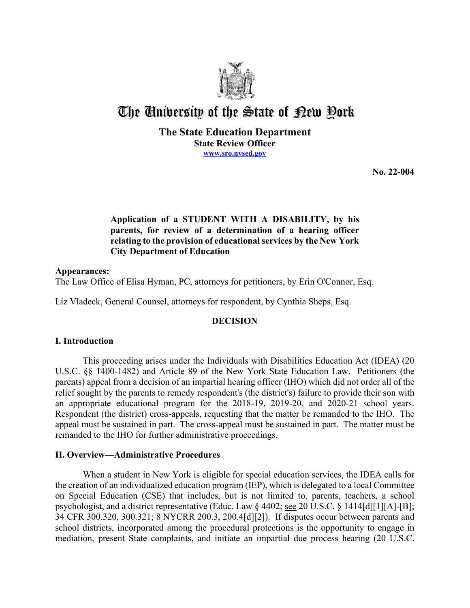

# The University of the State of Pew Pork

## **The State Education Department State Review Officer [www.sro.nysed.gov](http://www.sro.nysed.gov/)**

**No. 22-004** 

## **Application of a STUDENT WITH A DISABILITY, by his parents, for review of a determination of a hearing officer relating to the provision of educational services by the New York City Department of Education**

## **Appearances:**

The Law Office of Elisa Hyman, PC, attorneys for petitioners, by Erin O'Connor, Esq.

Liz Vladeck, General Counsel, attorneys for respondent, by Cynthia Sheps, Esq.

## **DECISION**

## **I. Introduction**

 parents) appeal from a decision of an impartial hearing officer (IHO) which did not order all of the an appropriate educational program for the 2018-19, 2019-20, and 2020-21 school years. an appropriate educational program for the 2018-19, 2019-20, and 2020-21 school years. Respondent (the district) cross-appeals, requesting that the matter be remanded to the IHO. The remanded to the IHO for further administrative proceedings. This proceeding arises under the Individuals with Disabilities Education Act (IDEA) (20 U.S.C. §§ 1400-1482) and Article 89 of the New York State Education Law. Petitioners (the relief sought by the parents to remedy respondent's (the district's) failure to provide their son with appeal must be sustained in part. The cross-appeal must be sustained in part. The matter must be

## **II. Overview—Administrative Procedures**

 the creation of an individualized education program (IEP), which is delegated to a local Committee on Special Education (CSE) that includes, but is not limited to, parents, teachers, a school psychologist, and a district representative (Educ. Law § 4402; see 20 U.S.C. § 1414[d][1][A]-[B]; When a student in New York is eligible for special education services, the IDEA calls for 34 CFR 300.320, 300.321; 8 NYCRR 200.3, 200.4[d][2]). If disputes occur between parents and school districts, incorporated among the procedural protections is the opportunity to engage in mediation, present State complaints, and initiate an impartial due process hearing (20 U.S.C.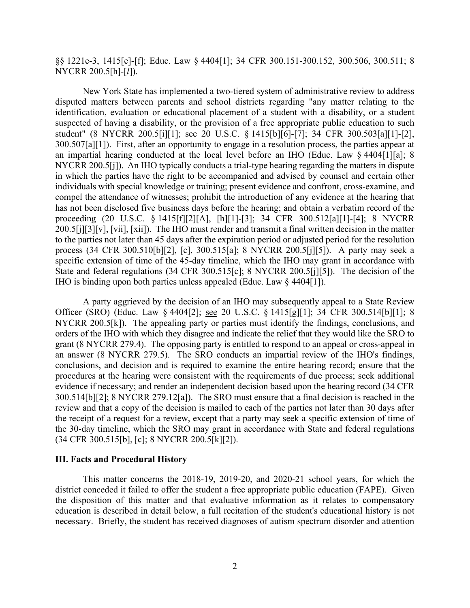§§ 1221e-3, 1415[e]-[f]; Educ. Law § 4404[1]; 34 CFR 300.151-300.152, 300.506, 300.511; 8 NYCRR 200.5[h]-[*l*]).

 disputed matters between parents and school districts regarding "any matter relating to the 300.507[a][1]). First, after an opportunity to engage in a resolution process, the parties appear at NYCRR 200.5[j]). An IHO typically conducts a trial-type hearing regarding the matters in dispute process (34 CFR 300.510[b][2], [c], 300.515[a]; 8 NYCRR 200.5[j][5]). A party may seek a IHO is binding upon both parties unless appealed (Educ. Law § 4404[1]). New York State has implemented a two-tiered system of administrative review to address identification, evaluation or educational placement of a student with a disability, or a student suspected of having a disability, or the provision of a free appropriate public education to such student" (8 NYCRR 200.5[i][1]; see 20 U.S.C. § 1415[b][6]-[7]; 34 CFR 300.503[a][1]-[2], an impartial hearing conducted at the local level before an IHO (Educ. Law § 4404[1][a]; 8 in which the parties have the right to be accompanied and advised by counsel and certain other individuals with special knowledge or training; present evidence and confront, cross-examine, and compel the attendance of witnesses; prohibit the introduction of any evidence at the hearing that has not been disclosed five business days before the hearing; and obtain a verbatim record of the proceeding (20 U.S.C. § 1415[f][2][A], [h][1]-[3]; 34 CFR 300.512[a][1]-[4]; 8 NYCRR 200.5[j][3][v], [vii], [xii]). The IHO must render and transmit a final written decision in the matter to the parties not later than 45 days after the expiration period or adjusted period for the resolution specific extension of time of the 45-day timeline, which the IHO may grant in accordance with State and federal regulations (34 CFR 300.515[c]; 8 NYCRR 200.5[j][5]). The decision of the

Officer (SRO) (Educ. Law § 4404[2]; <u>see</u> 20 U.S.C. § 1415[g][1]; 34 CFR 300.514[b][1]; 8 an answer (8 NYCRR 279.5). The SRO conducts an impartial review of the IHO's findings, review and that a copy of the decision is mailed to each of the parties not later than 30 days after the receipt of a request for a review, except that a party may seek a specific extension of time of A party aggrieved by the decision of an IHO may subsequently appeal to a State Review NYCRR 200.5[k]). The appealing party or parties must identify the findings, conclusions, and orders of the IHO with which they disagree and indicate the relief that they would like the SRO to grant (8 NYCRR 279.4). The opposing party is entitled to respond to an appeal or cross-appeal in conclusions, and decision and is required to examine the entire hearing record; ensure that the procedures at the hearing were consistent with the requirements of due process; seek additional evidence if necessary; and render an independent decision based upon the hearing record (34 CFR 300.514[b][2]; 8 NYCRR 279.12[a]). The SRO must ensure that a final decision is reached in the the 30-day timeline, which the SRO may grant in accordance with State and federal regulations (34 CFR 300.515[b], [c]; 8 NYCRR 200.5[k][2]).

#### **III. Facts and Procedural History**

This matter concerns the 2018-19, 2019-20, and 2020-21 school years, for which the district conceded it failed to offer the student a free appropriate public education (FAPE). Given the disposition of this matter and that evaluative information as it relates to compensatory education is described in detail below, a full recitation of the student's educational history is not necessary. Briefly, the student has received diagnoses of autism spectrum disorder and attention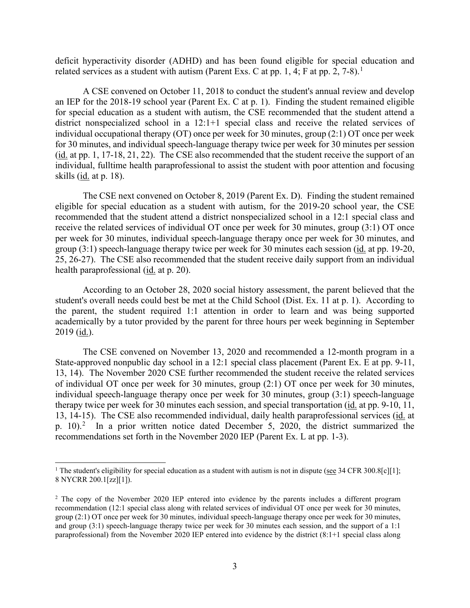deficit hyperactivity disorder (ADHD) and has been found eligible for special education and related services as a student with autism (Parent Exs. C at pp. [1](#page-2-0),  $\overline{4}$ ; F at pp. 2, 7-8).<sup>1</sup>

 an IEP for the 2018-19 school year (Parent Ex. C at p. 1). Finding the student remained eligible skills (<u>id.</u> at p. 18). A CSE convened on October 11, 2018 to conduct the student's annual review and develop for special education as a student with autism, the CSE recommended that the student attend a district nonspecialized school in a 12:1+1 special class and receive the related services of individual occupational therapy (OT) once per week for 30 minutes, group (2:1) OT once per week for 30 minutes, and individual speech-language therapy twice per week for 30 minutes per session (id. at pp. 1, 17-18, 21, 22). The CSE also recommended that the student receive the support of an individual, fulltime health paraprofessional to assist the student with poor attention and focusing

group (3:1) speech-language therapy twice per week for 30 minutes each session (*id.* at pp. 19-20, 25, 26-27). The CSE also recommended that the student receive daily support from an individual health paraprofessional (id. at p. 20). The CSE next convened on October 8, 2019 (Parent Ex. D). Finding the student remained eligible for special education as a student with autism, for the 2019-20 school year, the CSE recommended that the student attend a district nonspecialized school in a 12:1 special class and receive the related services of individual OT once per week for 30 minutes, group (3:1) OT once per week for 30 minutes, individual speech-language therapy once per week for 30 minutes, and

2019 (id.). According to an October 28, 2020 social history assessment, the parent believed that the student's overall needs could best be met at the Child School (Dist. Ex. 11 at p. 1). According to the parent, the student required 1:1 attention in order to learn and was being supported academically by a tutor provided by the parent for three hours per week beginning in September

therapy twice per week for 30 minutes each session, and special transportation (*id.* at pp. 9-10, 11, 13, 14-15). The CSE also recommended individual, daily health paraprofessional services (id. at p. 10).<sup>[2](#page-2-1)</sup> In a prior written notice dated December 5, 2020, the district summarized the recommendations set forth in the November 2020 IEP (Parent Ex. L at pp. 1-3). The CSE convened on November 13, 2020 and recommended a 12-month program in a State-approved nonpublic day school in a 12:1 special class placement (Parent Ex. E at pp. 9-11, 13, 14). The November 2020 CSE further recommended the student receive the related services of individual OT once per week for 30 minutes, group (2:1) OT once per week for 30 minutes, individual speech-language therapy once per week for 30 minutes, group (3:1) speech-language

<span id="page-2-0"></span><sup>&</sup>lt;sup>1</sup> The student's eligibility for special education as a student with autism is not in dispute (see 34 CFR 300.8[c][1]; 8 NYCRR 200.1[zz][1]).

<span id="page-2-1"></span> and group (3:1) speech-language therapy twice per week for 30 minutes each session, and the support of a 1:1 <sup>2</sup> The copy of the November 2020 IEP entered into evidence by the parents includes a different program recommendation (12:1 special class along with related services of individual OT once per week for 30 minutes, group (2:1) OT once per week for 30 minutes, individual speech-language therapy once per week for 30 minutes, paraprofessional) from the November 2020 IEP entered into evidence by the district (8:1+1 special class along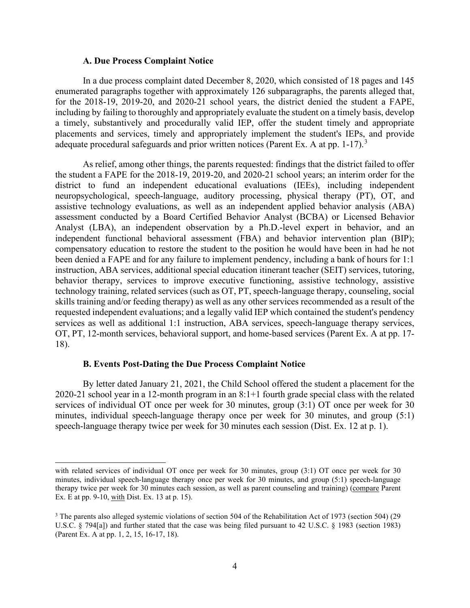#### **A. Due Process Complaint Notice**

 In a due process complaint dated December 8, 2020, which consisted of 18 pages and 145 adequate procedural safeguards and prior written notices (Parent Ex. A at pp. 1-17).<sup>3</sup> enumerated paragraphs together with approximately 126 subparagraphs, the parents alleged that, for the 2018-19, 2019-20, and 2020-21 school years, the district denied the student a FAPE, including by failing to thoroughly and appropriately evaluate the student on a timely basis, develop a timely, substantively and procedurally valid IEP, offer the student timely and appropriate placements and services, timely and appropriately implement the student's IEPs, and provide

 compensatory education to restore the student to the position he would have been in had he not skills training and/or feeding therapy) as well as any other services recommended as a result of the services as well as additional 1:1 instruction, ABA services, speech-language therapy services, As relief, among other things, the parents requested: findings that the district failed to offer the student a FAPE for the 2018-19, 2019-20, and 2020-21 school years; an interim order for the district to fund an independent educational evaluations (IEEs), including independent neuropsychological, speech-language, auditory processing, physical therapy (PT), OT, and assistive technology evaluations, as well as an independent applied behavior analysis (ABA) assessment conducted by a Board Certified Behavior Analyst (BCBA) or Licensed Behavior Analyst (LBA), an independent observation by a Ph.D.-level expert in behavior, and an independent functional behavioral assessment (FBA) and behavior intervention plan (BIP); been denied a FAPE and for any failure to implement pendency, including a bank of hours for 1:1 instruction, ABA services, additional special education itinerant teacher (SEIT) services, tutoring, behavior therapy, services to improve executive functioning, assistive technology, assistive technology training, related services (such as OT, PT, speech-language therapy, counseling, social requested independent evaluations; and a legally valid IEP which contained the student's pendency OT, PT, 12-month services, behavioral support, and home-based services (Parent Ex. A at pp. 17- 18).

### **B. Events Post-Dating the Due Process Complaint Notice**

 By letter dated January 21, 2021, the Child School offered the student a placement for the 2020-21 school year in a 12-month program in an 8:1+1 fourth grade special class with the related services of individual OT once per week for 30 minutes, group (3:1) OT once per week for 30 minutes, individual speech-language therapy once per week for 30 minutes, and group (5:1) speech-language therapy twice per week for 30 minutes each session (Dist. Ex. 12 at p. 1).

 with related services of individual OT once per week for 30 minutes, group (3:1) OT once per week for 30 Ex. E at pp. 9-10, <u>with</u> Dist. Ex. 13 at p. 15). minutes, individual speech-language therapy once per week for 30 minutes, and group (5:1) speech-language therapy twice per week for 30 minutes each session, as well as parent counseling and training) (compare Parent

<span id="page-3-0"></span> $3$  The parents also alleged systemic violations of section 504 of the Rehabilitation Act of 1973 (section 504) (29 (Parent Ex. A at pp. 1, 2, 15, 16-17, 18). U.S.C. § 794[a]) and further stated that the case was being filed pursuant to 42 U.S.C. § 1983 (section 1983)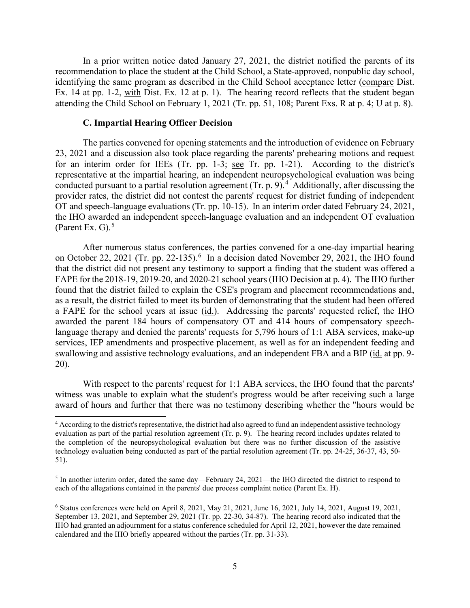identifying the same program as described in the Child School acceptance letter (compare Dist. Ex. 14 at pp. 1-2, with Dist. Ex. 12 at p. 1). The hearing record reflects that the student began In a prior written notice dated January 27, 2021, the district notified the parents of its recommendation to place the student at the Child School, a State-approved, nonpublic day school, attending the Child School on February 1, 2021 (Tr. pp. 51, 108; Parent Exs. R at p. 4; U at p. 8).

#### **C. Impartial Hearing Officer Decision**

 The parties convened for opening statements and the introduction of evidence on February for an interim order for IEEs (Tr. pp. 1-3; see Tr. pp. 1-21). According to the district's conducted pursuant to a partial resolution agreement (Tr. p. 9).<sup>4</sup> Additionally, after discussing the OT and speech-language evaluations (Tr. pp. 10-15). In an interim order dated February 24, 2021, 23, 2021 and a discussion also took place regarding the parents' prehearing motions and request representative at the impartial hearing, an independent neuropsychological evaluation was being provider rates, the district did not contest the parents' request for district funding of independent the IHO awarded an independent speech-language evaluation and an independent OT evaluation (Parent Ex. G). $<sup>5</sup>$  $<sup>5</sup>$  $<sup>5</sup>$ </sup>

on October 22, 2021 (Tr. pp. 22-135).<sup>[6](#page-4-2)</sup> In a decision dated November 29, 2021, the IHO found FAPE for the 2018-19, 2019-20, and 2020-21 school years (IHO Decision at p. 4). The IHO further a FAPE for the school years at issue (id.). Addressing the parents' requested relief, the IHO swallowing and assistive technology evaluations, and an independent FBA and a BIP (id. at pp. 9-After numerous status conferences, the parties convened for a one-day impartial hearing that the district did not present any testimony to support a finding that the student was offered a found that the district failed to explain the CSE's program and placement recommendations and, as a result, the district failed to meet its burden of demonstrating that the student had been offered awarded the parent 184 hours of compensatory OT and 414 hours of compensatory speechlanguage therapy and denied the parents' requests for 5,796 hours of 1:1 ABA services, make-up services, IEP amendments and prospective placement, as well as for an independent feeding and 20).

 With respect to the parents' request for 1:1 ABA services, the IHO found that the parents' witness was unable to explain what the student's progress would be after receiving such a large award of hours and further that there was no testimony describing whether the "hours would be

<span id="page-4-0"></span> evaluation as part of the partial resolution agreement (Tr. p. 9). The hearing record includes updates related to <sup>4</sup> According to the district's representative, the district had also agreed to fund an independent assistive technology the completion of the neuropsychological evaluation but there was no further discussion of the assistive technology evaluation being conducted as part of the partial resolution agreement (Tr. pp. 24-25, 36-37, 43, 50- 51).

<span id="page-4-1"></span><sup>5</sup> In another interim order, dated the same day—February 24, 2021—the IHO directed the district to respond to each of the allegations contained in the parents' due process complaint notice (Parent Ex. H).

<span id="page-4-2"></span> September 13, 2021, and September 29, 2021 (Tr. pp. 22-30, 34-87). The hearing record also indicated that the 6 Status conferences were held on April 8, 2021, May 21, 2021, June 16, 2021, July 14, 2021, August 19, 2021, IHO had granted an adjournment for a status conference scheduled for April 12, 2021, however the date remained calendared and the IHO briefly appeared without the parties (Tr. pp. 31-33).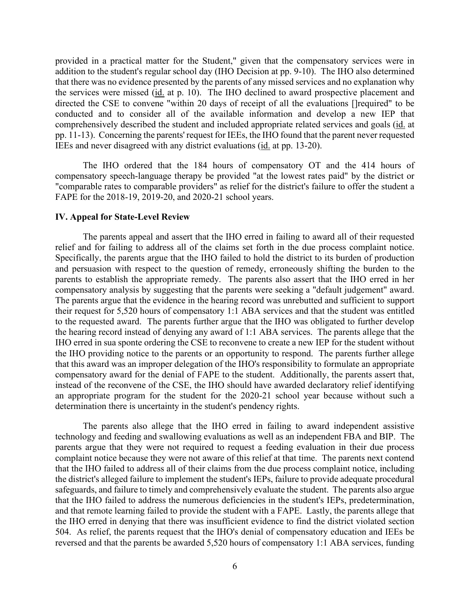conducted and to consider all of the available information and develop a new IEP that provided in a practical matter for the Student," given that the compensatory services were in addition to the student's regular school day (IHO Decision at pp. 9-10). The IHO also determined that there was no evidence presented by the parents of any missed services and no explanation why the services were missed (id. at p. 10). The IHO declined to award prospective placement and directed the CSE to convene "within 20 days of receipt of all the evaluations []required" to be comprehensively described the student and included appropriate related services and goals (id. at pp. 11-13). Concerning the parents' request for IEEs, the IHO found that the parent never requested IEEs and never disagreed with any district evaluations (id. at pp. 13-20).

The IHO ordered that the 184 hours of compensatory OT and the 414 hours of compensatory speech-language therapy be provided "at the lowest rates paid" by the district or "comparable rates to comparable providers" as relief for the district's failure to offer the student a FAPE for the 2018-19, 2019-20, and 2020-21 school years.

#### **IV. Appeal for State-Level Review**

 Specifically, the parents argue that the IHO failed to hold the district to its burden of production IHO erred in sua sponte ordering the CSE to reconvene to create a new IEP for the student without the IHO providing notice to the parents or an opportunity to respond. The parents further allege compensatory award for the denial of FAPE to the student. Additionally, the parents assert that, instead of the reconvene of the CSE, the IHO should have awarded declaratory relief identifying The parents appeal and assert that the IHO erred in failing to award all of their requested relief and for failing to address all of the claims set forth in the due process complaint notice. and persuasion with respect to the question of remedy, erroneously shifting the burden to the parents to establish the appropriate remedy. The parents also assert that the IHO erred in her compensatory analysis by suggesting that the parents were seeking a "default judgement" award. The parents argue that the evidence in the hearing record was unrebutted and sufficient to support their request for 5,520 hours of compensatory 1:1 ABA services and that the student was entitled to the requested award. The parents further argue that the IHO was obligated to further develop the hearing record instead of denying any award of 1:1 ABA services. The parents allege that the that this award was an improper delegation of the IHO's responsibility to formulate an appropriate an appropriate program for the student for the 2020-21 school year because without such a determination there is uncertainty in the student's pendency rights.

 The parents also allege that the IHO erred in failing to award independent assistive technology and feeding and swallowing evaluations as well as an independent FBA and BIP. The that the IHO failed to address all of their claims from the due process complaint notice, including parents argue that they were not required to request a feeding evaluation in their due process complaint notice because they were not aware of this relief at that time. The parents next contend the district's alleged failure to implement the student's IEPs, failure to provide adequate procedural safeguards, and failure to timely and comprehensively evaluate the student. The parents also argue that the IHO failed to address the numerous deficiencies in the student's IEPs, predetermination, and that remote learning failed to provide the student with a FAPE. Lastly, the parents allege that the IHO erred in denying that there was insufficient evidence to find the district violated section 504. As relief, the parents request that the IHO's denial of compensatory education and IEEs be reversed and that the parents be awarded 5,520 hours of compensatory 1:1 ABA services, funding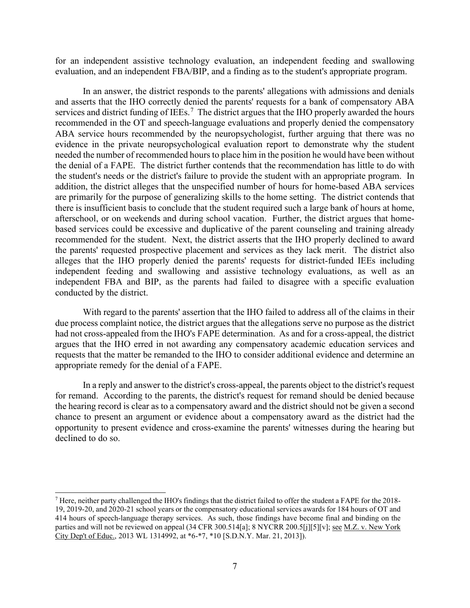for an independent assistive technology evaluation, an independent feeding and swallowing evaluation, and an independent FBA/BIP, and a finding as to the student's appropriate program.

 and asserts that the IHO correctly denied the parents' requests for a bank of compensatory ABA services and district funding of IEEs.<sup>[7](#page-6-0)</sup> The district argues that the IHO properly awarded the hours afterschool, or on weekends and during school vacation. Further, the district argues that home- alleges that the IHO properly denied the parents' requests for district-funded IEEs including independent feeding and swallowing and assistive technology evaluations, as well as an In an answer, the district responds to the parents' allegations with admissions and denials recommended in the OT and speech-language evaluations and properly denied the compensatory ABA service hours recommended by the neuropsychologist, further arguing that there was no evidence in the private neuropsychological evaluation report to demonstrate why the student needed the number of recommended hours to place him in the position he would have been without the denial of a FAPE. The district further contends that the recommendation has little to do with the student's needs or the district's failure to provide the student with an appropriate program. In addition, the district alleges that the unspecified number of hours for home-based ABA services are primarily for the purpose of generalizing skills to the home setting. The district contends that there is insufficient basis to conclude that the student required such a large bank of hours at home, based services could be excessive and duplicative of the parent counseling and training already recommended for the student. Next, the district asserts that the IHO properly declined to award the parents' requested prospective placement and services as they lack merit. The district also independent FBA and BIP, as the parents had failed to disagree with a specific evaluation conducted by the district.

 appropriate remedy for the denial of a FAPE. With regard to the parents' assertion that the IHO failed to address all of the claims in their due process complaint notice, the district argues that the allegations serve no purpose as the district had not cross-appealed from the IHO's FAPE determination. As and for a cross-appeal, the district argues that the IHO erred in not awarding any compensatory academic education services and requests that the matter be remanded to the IHO to consider additional evidence and determine an

 In a reply and answer to the district's cross-appeal, the parents object to the district's request for remand. According to the parents, the district's request for remand should be denied because chance to present an argument or evidence about a compensatory award as the district had the the hearing record is clear as to a compensatory award and the district should not be given a second opportunity to present evidence and cross-examine the parents' witnesses during the hearing but declined to do so.

<span id="page-6-0"></span> $^7$  Here, neither party challenged the IHO's findings that the district failed to offer the student a FAPE for the 2018-19, 2019-20, and 2020-21 school years or the compensatory educational services awards for 184 hours of OT and 414 hours of speech-language therapy services. As such, those findings have become final and binding on the parties and will not be reviewed on appeal (34 CFR 300.514[a]; 8 NYCRR 200.5[j][5][v]; see M.Z. v. New York City Dep't of Educ., 2013 WL 1314992, at \*6-\*7, \*10 [S.D.N.Y. Mar. 21, 2013]).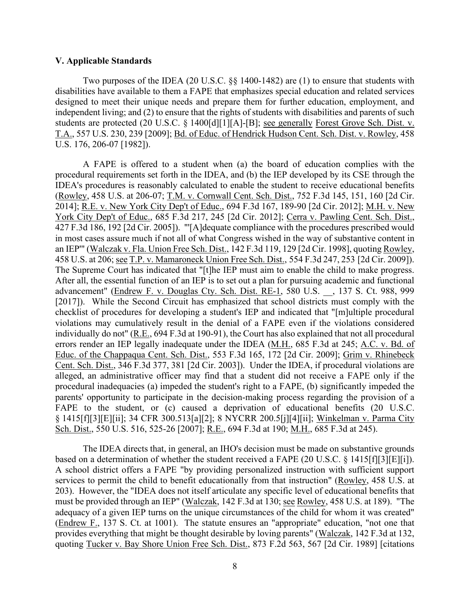#### **V. Applicable Standards**

Two purposes of the IDEA (20 U.S.C. §§ 1400-1482) are (1) to ensure that students with disabilities have available to them a FAPE that emphasizes special education and related services designed to meet their unique needs and prepare them for further education, employment, and independent living; and (2) to ensure that the rights of students with disabilities and parents of such students are protected (20 U.S.C. § 1400[d][1][A]-[B]; see generally Forest Grove Sch. Dist. v. T.A., 557 U.S. 230, 239 [2009]; Bd. of Educ. of Hendrick Hudson Cent. Sch. Dist. v. Rowley, 458 U.S. 176, 206-07 [1982]).

2014]; <u>R.E. v. New York City Dep't of Educ.</u>, 694 F.3d 167, 189-90 [2d Cir. 2012]; <u>M.H. v. New</u> 458 U.S. at 206; see T.P. v. Mamaroneck Union Free Sch. Dist., 554 F.3d 247, 253 [2d Cir. 2009]). The Supreme Court has indicated that "[t]he IEP must aim to enable the child to make progress. errors render an IEP legally inadequate under the IDEA (M.H., 685 F.3d at 245; A.C. v. Bd. of parents' opportunity to participate in the decision-making process regarding the provision of a A FAPE is offered to a student when (a) the board of education complies with the procedural requirements set forth in the IDEA, and (b) the IEP developed by its CSE through the IDEA's procedures is reasonably calculated to enable the student to receive educational benefits (Rowley, 458 U.S. at 206-07; T.M. v. Cornwall Cent. Sch. Dist., 752 F.3d 145, 151, 160 [2d Cir. York City Dep't of Educ., 685 F.3d 217, 245 [2d Cir. 2012]; Cerra v. Pawling Cent. Sch. Dist., 427 F.3d 186, 192 [2d Cir. 2005]). "'[A]dequate compliance with the procedures prescribed would in most cases assure much if not all of what Congress wished in the way of substantive content in an IEP'" (Walczak v. Fla. Union Free Sch. Dist., 142 F.3d 119, 129 [2d Cir. 1998], quoting Rowley, After all, the essential function of an IEP is to set out a plan for pursuing academic and functional advancement" (Endrew F. v. Douglas Cty. Sch. Dist. RE-1, 580 U.S. \_\_, 137 S. Ct. 988, 999 [2017]). While the Second Circuit has emphasized that school districts must comply with the checklist of procedures for developing a student's IEP and indicated that "[m]ultiple procedural violations may cumulatively result in the denial of a FAPE even if the violations considered individually do not" (R.E., 694 F.3d at 190-91), the Court has also explained that not all procedural Educ. of the Chappaqua Cent. Sch. Dist., 553 F.3d 165, 172 [2d Cir. 2009]; Grim v. Rhinebeck Cent. Sch. Dist., 346 F.3d 377, 381 [2d Cir. 2003]). Under the IDEA, if procedural violations are alleged, an administrative officer may find that a student did not receive a FAPE only if the procedural inadequacies (a) impeded the student's right to a FAPE, (b) significantly impeded the FAPE to the student, or (c) caused a deprivation of educational benefits (20 U.S.C. § 1415[f][3][E][ii]; 34 CFR 300.513[a][2]; 8 NYCRR 200.5[j][4][ii]; Winkelman v. Parma City Sch. Dist., 550 U.S. 516, 525-26 [2007]; R.E., 694 F.3d at 190; M.H., 685 F.3d at 245).

based on a determination of whether the student received a FAPE (20 U.S.C.  $\{1415[f][3][E][i]\}$ ). adequacy of a given IEP turns on the unique circumstances of the child for whom it was created" The IDEA directs that, in general, an IHO's decision must be made on substantive grounds A school district offers a FAPE "by providing personalized instruction with sufficient support services to permit the child to benefit educationally from that instruction" (Rowley, 458 U.S. at 203). However, the "IDEA does not itself articulate any specific level of educational benefits that must be provided through an IEP" (Walczak, 142 F.3d at 130; see Rowley, 458 U.S. at 189). "The (Endrew F., 137 S. Ct. at 1001). The statute ensures an "appropriate" education, "not one that provides everything that might be thought desirable by loving parents" (Walczak, 142 F.3d at 132, quoting Tucker v. Bay Shore Union Free Sch. Dist., 873 F.2d 563, 567 [2d Cir. 1989] [citations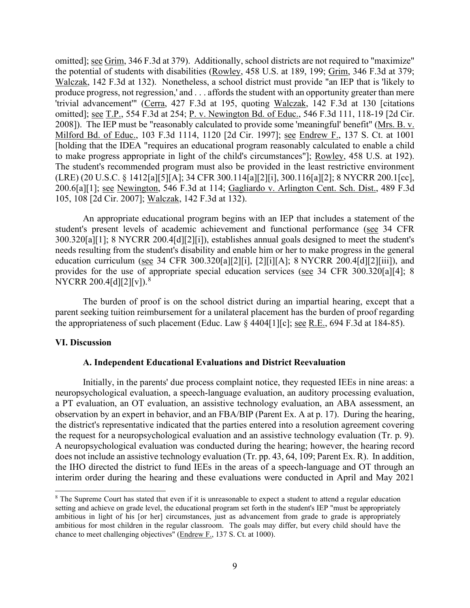produce progress, not regression,' and . . . affords the student with an opportunity greater than mere 200.6[a][1]; <u>see Newington,</u> 546 F.3d at 114; Gagliardo v. Arlington Cent. Sch. Dist., 489 F.3d omitted]; see Grim, 346 F.3d at 379). Additionally, school districts are not required to "maximize" the potential of students with disabilities (Rowley, 458 U.S. at 189, 199; Grim, 346 F.3d at 379; Walczak, 142 F.3d at 132). Nonetheless, a school district must provide "an IEP that is 'likely to 'trivial advancement'" (Cerra, 427 F.3d at 195, quoting Walczak, 142 F.3d at 130 [citations omitted]; <u>see T.P.</u>, 554 F.3d at 254; P. v. Newington Bd. of Educ., 546 F.3d 111, 118-19 [2d Cir. 2008]). The IEP must be "reasonably calculated to provide some 'meaningful' benefit" (Mrs. B. v. Milford Bd. of Educ., 103 F.3d 1114, 1120 [2d Cir. 1997]; see Endrew F., 137 S. Ct. at 1001 [holding that the IDEA "requires an educational program reasonably calculated to enable a child to make progress appropriate in light of the child's circumstances"]; Rowley, 458 U.S. at 192). The student's recommended program must also be provided in the least restrictive environment (LRE) (20 U.S.C. § 1412[a][5][A]; 34 CFR 300.114[a][2][i], 300.116[a][2]; 8 NYCRR 200.1[cc], 105, 108 [2d Cir. 2007]; Walczak, 142 F.3d at 132).

An appropriate educational program begins with an IEP that includes a statement of the student's present levels of academic achievement and functional performance (see 34 CFR 300.320[a][1]; 8 NYCRR 200.4[d][2][i]), establishes annual goals designed to meet the student's needs resulting from the student's disability and enable him or her to make progress in the general education curriculum (see 34 CFR 300.320[a][2][i], [2][i][A]; 8 NYCRR 200.4[d][2][iii]), and provides for the use of appropriate special education services (see 34 CFR 300.320[a][4]; 8 NYCRR 200.4[d][2][v]).[8](#page-8-0) 

the appropriateness of such placement (Educ. Law  $\S$  4404[1][c]; <u>see R.E.</u>, 694 F.3d at 184-85). The burden of proof is on the school district during an impartial hearing, except that a parent seeking tuition reimbursement for a unilateral placement has the burden of proof regarding

### **VI. Discussion**

### **A. Independent Educational Evaluations and District Reevaluation**

observation by an expert in behavior, and an FBA/BIP (Parent Ex. A at p. 17). During the hearing, observation by an expert in behavior, and an FBA/BIP (Parent Ex. A at p. 17). During the hearing, the district's representative indicated that the parties entered into a resolution agreement covering the request for a neuropsychological evaluation and an assistive technology evaluation (Tr. p. 9). Initially, in the parents' due process complaint notice, they requested IEEs in nine areas: a neuropsychological evaluation, a speech-language evaluation, an auditory processing evaluation, a PT evaluation, an OT evaluation, an assistive technology evaluation, an ABA assessment, an A neuropsychological evaluation was conducted during the hearing; however, the hearing record does not include an assistive technology evaluation (Tr. pp. 43, 64, 109; Parent Ex. R). In addition, the IHO directed the district to fund IEEs in the areas of a speech-language and OT through an interim order during the hearing and these evaluations were conducted in April and May 2021

<span id="page-8-0"></span> setting and achieve on grade level, the educational program set forth in the student's IEP "must be appropriately <sup>8</sup> The Supreme Court has stated that even if it is unreasonable to expect a student to attend a regular education ambitious in light of his [or her] circumstances, just as advancement from grade to grade is appropriately ambitious for most children in the regular classroom. The goals may differ, but every child should have the chance to meet challenging objectives" (Endrew F., 137 S. Ct. at 1000).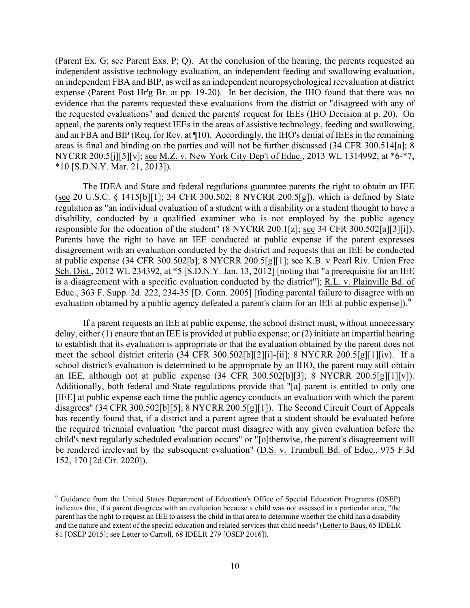expense (Parent Post Hr'g Br. at pp. 19-20). In her decision, the IHO found that there was no the requested evaluations" and denied the parents' request for IEEs (IHO Decision at p. 20). On and an FBA and BIP (Req. for Rev. at ¶10). Accordingly, the IHO's denial of IEEs in the remaining (Parent Ex. G; see Parent Exs. P; Q). At the conclusion of the hearing, the parents requested an independent assistive technology evaluation, an independent feeding and swallowing evaluation, an independent FBA and BIP, as well as an independent neuropsychological reevaluation at district evidence that the parents requested these evaluations from the district or "disagreed with any of appeal, the parents only request IEEs in the areas of assistive technology, feeding and swallowing, areas is final and binding on the parties and will not be further discussed (34 CFR 300.514[a]; 8 NYCRR 200.5[j][5][v]; see M.Z. v. New York City Dep't of Educ., 2013 WL 1314992, at \*6-\*7, \*10 [S.D.N.Y. Mar. 21, 2013]).

responsible for the education of the student" (8 NYCRR 200.1[z]; <u>see</u> 34 CFR 300.502[a][3][i]). Sch. Dist., 2012 WL 234392, at \*5 [S.D.N.Y. Jan. 13, 2012] [noting that "a prerequisite for an IEE evaluation obtained by a public agency defeated a parent's claim for an IEE at public expense]).<sup>9</sup> The IDEA and State and federal regulations guarantee parents the right to obtain an IEE (see 20 U.S.C. § 1415[b][1]; 34 CFR 300.502; 8 NYCRR 200.5[g]), which is defined by State regulation as "an individual evaluation of a student with a disability or a student thought to have a disability, conducted by a qualified examiner who is not employed by the public agency Parents have the right to have an IEE conducted at public expense if the parent expresses disagreement with an evaluation conducted by the district and requests that an IEE be conducted at public expense (34 CFR 300.502[b]; 8 NYCRR 200.5[g][1]; see K.B. v Pearl Riv. Union Free is a disagreement with a specific evaluation conducted by the district"]; R.L. v. Plainville Bd. of Educ., 363 F. Supp. 2d. 222, 234-35 [D. Conn. 2005] [finding parental failure to disagree with an

 meet the school district criteria (34 CFR 300.502[b][2][i]-[ii]; 8 NYCRR 200.5[g][1][iv). If a If a parent requests an IEE at public expense, the school district must, without unnecessary delay, either (1) ensure that an IEE is provided at public expense; or (2) initiate an impartial hearing to establish that its evaluation is appropriate or that the evaluation obtained by the parent does not school district's evaluation is determined to be appropriate by an IHO, the parent may still obtain an IEE, although not at public expense (34 CFR 300.502[b][3]; 8 NYCRR 200.5[g][1][v]). Additionally, both federal and State regulations provide that "[a] parent is entitled to only one [IEE] at public expense each time the public agency conducts an evaluation with which the parent disagrees" (34 CFR 300.502[b][5]; 8 NYCRR 200.5[g][1]). The Second Circuit Court of Appeals has recently found that, if a district and a parent agree that a student should be evaluated before the required triennial evaluation "the parent must disagree with any given evaluation before the child's next regularly scheduled evaluation occurs" or "[o]therwise, the parent's disagreement will be rendered irrelevant by the subsequent evaluation" (D.S. v. Trumbull Bd. of Educ., 975 F.3d 152, 170 [2d Cir. 2020]).

<span id="page-9-0"></span><sup>9</sup> Guidance from the United States Department of Education's Office of Special Education Programs (OSEP) indicates that, if a parent disagrees with an evaluation because a child was not assessed in a particular area, "the parent has the right to request an IEE to assess the child in that area to determine whether the child has a disability and the nature and extent of the special education and related services that child needs" (Letter to Baus, 65 IDELR 81 [OSEP 2015]; see Letter to Carroll, 68 IDELR 279 [OSEP 2016]).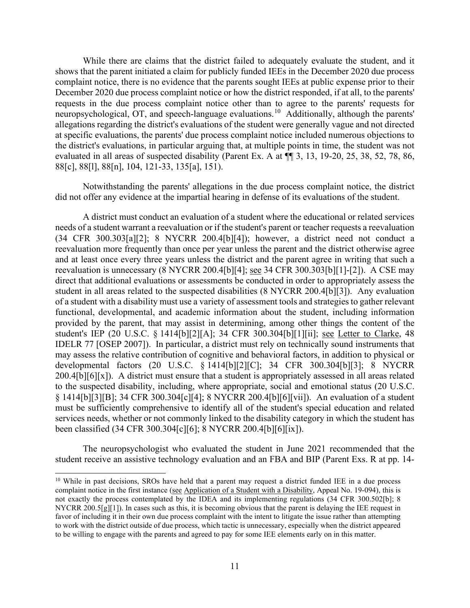neuropsychological, OT, and speech-language evaluations.<sup>10</sup> Additionally, although the parents' the district's evaluations, in particular arguing that, at multiple points in time, the student was not While there are claims that the district failed to adequately evaluate the student, and it shows that the parent initiated a claim for publicly funded IEEs in the December 2020 due process complaint notice, there is no evidence that the parents sought IEEs at public expense prior to their December 2020 due process complaint notice or how the district responded, if at all, to the parents' requests in the due process complaint notice other than to agree to the parents' requests for allegations regarding the district's evaluations of the student were generally vague and not directed at specific evaluations, the parents' due process complaint notice included numerous objections to evaluated in all areas of suspected disability (Parent Ex. A at ¶¶ 3, 13, 19-20, 25, 38, 52, 78, 86, 88[c], 88[l], 88[n], 104, 121-33, 135[a], 151).

Notwithstanding the parents' allegations in the due process complaint notice, the district did not offer any evidence at the impartial hearing in defense of its evaluations of the student.

 A district must conduct an evaluation of a student where the educational or related services and at least once every three years unless the district and the parent agree in writing that such a reevaluation is unnecessary (8 NYCRR 200.4[b][4]; <u>see</u> 34 CFR 300.303[b][1]-[2]). A CSE may needs of a student warrant a reevaluation or if the student's parent or teacher requests a reevaluation (34 CFR 300.303[a][2]; 8 NYCRR 200.4[b][4]); however, a district need not conduct a reevaluation more frequently than once per year unless the parent and the district otherwise agree direct that additional evaluations or assessments be conducted in order to appropriately assess the student in all areas related to the suspected disabilities (8 NYCRR 200.4[b][3]). Any evaluation of a student with a disability must use a variety of assessment tools and strategies to gather relevant functional, developmental, and academic information about the student, including information provided by the parent, that may assist in determining, among other things the content of the student's IEP (20 U.S.C. § 1414[b][2][A]; 34 CFR 300.304[b][1][ii]; see Letter to Clarke, 48 IDELR 77 [OSEP 2007]). In particular, a district must rely on technically sound instruments that may assess the relative contribution of cognitive and behavioral factors, in addition to physical or developmental factors (20 U.S.C. § 1414[b][2][C]; 34 CFR 300.304[b][3]; 8 NYCRR 200.4[b][6][x]). A district must ensure that a student is appropriately assessed in all areas related to the suspected disability, including, where appropriate, social and emotional status (20 U.S.C. § 1414[b][3][B]; 34 CFR 300.304[c][4]; 8 NYCRR 200.4[b][6][vii]). An evaluation of a student must be sufficiently comprehensive to identify all of the student's special education and related services needs, whether or not commonly linked to the disability category in which the student has been classified (34 CFR 300.304[c][6]; 8 NYCRR 200.4[b][6][ix]).

The neuropsychologist who evaluated the student in June 2021 recommended that the student receive an assistive technology evaluation and an FBA and BIP (Parent Exs. R at pp. 14-

<span id="page-10-0"></span><sup>&</sup>lt;sup>10</sup> While in past decisions, SROs have held that a parent may request a district funded IEE in a due process not exactly the process contemplated by the IDEA and its implementing regulations (34 CFR 300.502[b]; 8 complaint notice in the first instance (see Application of a Student with a Disability, Appeal No. 19-094), this is NYCRR 200.5[g][1]). In cases such as this, it is becoming obvious that the parent is delaying the IEE request in favor of including it in their own due process complaint with the intent to litigate the issue rather than attempting to work with the district outside of due process, which tactic is unnecessary, especially when the district appeared to be willing to engage with the parents and agreed to pay for some IEE elements early on in this matter.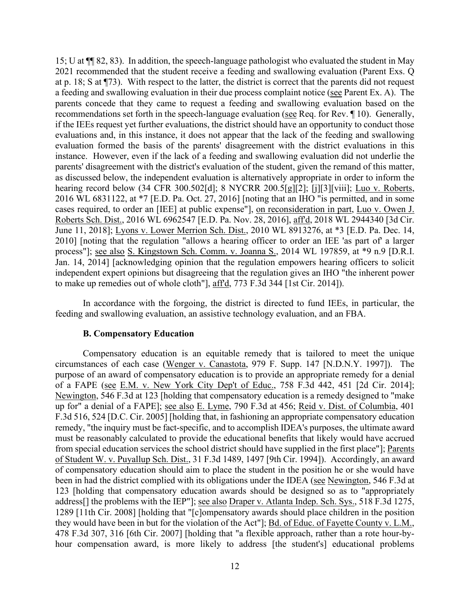at p. 18; S at ¶73). With respect to the latter, the district is correct that the parents did not request recommendations set forth in the speech-language evaluation (see Req. for Rev. 110). Generally, instance. However, even if the lack of a feeding and swallowing evaluation did not underlie the 15; U at ¶¶ 82, 83). In addition, the speech-language pathologist who evaluated the student in May 2021 recommended that the student receive a feeding and swallowing evaluation (Parent Exs. Q a feeding and swallowing evaluation in their due process complaint notice (see Parent Ex. A). The parents concede that they came to request a feeding and swallowing evaluation based on the if the IEEs request yet further evaluations, the district should have an opportunity to conduct those evaluations and, in this instance, it does not appear that the lack of the feeding and swallowing evaluation formed the basis of the parents' disagreement with the district evaluations in this parents' disagreement with the district's evaluation of the student, given the remand of this matter, as discussed below, the independent evaluation is alternatively appropriate in order to inform the hearing record below (34 CFR 300.502[d]; 8 NYCRR 200.5[g][2]; [j][3][viii]; Luo v. Roberts, 2016 WL 6831122, at \*7 [E.D. Pa. Oct. 27, 2016] [noting that an IHO "is permitted, and in some cases required, to order an [IEE] at public expense"], on reconsideration in part, Luo v. Owen J. Roberts Sch. Dist., 2016 WL 6962547 [E.D. Pa. Nov. 28, 2016], aff'd, 2018 WL 2944340 [3d Cir. June 11, 2018]; Lyons v. Lower Merrion Sch. Dist., 2010 WL 8913276, at \*3 [E.D. Pa. Dec. 14, 2010] [noting that the regulation "allows a hearing officer to order an IEE 'as part of' a larger process"]; <u>see also S. Kingstown Sch. Comm. v. Joanna S.</u>, 2014 WL 197859, at \*9 n.9 [D.R.I.] Jan. 14, 2014] [acknowledging opinion that the regulation empowers hearing officers to solicit independent expert opinions but disagreeing that the regulation gives an IHO "the inherent power to make up remedies out of whole cloth"], aff'd, 773 F.3d 344 [1st Cir. 2014]).

In accordance with the forgoing, the district is directed to fund IEEs, in particular, the feeding and swallowing evaluation, an assistive technology evaluation, and an FBA.

### **B. Compensatory Education**

 purpose of an award of compensatory education is to provide an appropriate remedy for a denial up for" a denial of a FAPE]; <u>see also E. Lyme</u>, 790 F.3d at 456; <u>Reid v. Dist. of Columbia</u>, 401 of Student W. v. Puyallup Sch. Dist., 31 F.3d 1489, 1497 [9th Cir. 1994]). Accordingly, an award Compensatory education is an equitable remedy that is tailored to meet the unique circumstances of each case (Wenger v. Canastota, 979 F. Supp. 147 [N.D.N.Y. 1997]). The of a FAPE (see E.M. v. New York City Dep't of Educ., 758 F.3d 442, 451 [2d Cir. 2014]; Newington, 546 F.3d at 123 [holding that compensatory education is a remedy designed to "make F.3d 516, 524 [D.C. Cir. 2005] [holding that, in fashioning an appropriate compensatory education remedy, "the inquiry must be fact-specific, and to accomplish IDEA's purposes, the ultimate award must be reasonably calculated to provide the educational benefits that likely would have accrued from special education services the school district should have supplied in the first place"]; Parents of compensatory education should aim to place the student in the position he or she would have been in had the district complied with its obligations under the IDEA (see Newington, 546 F.3d at 123 [holding that compensatory education awards should be designed so as to "appropriately address[] the problems with the IEP"]; see also Draper v. Atlanta Indep. Sch. Sys., 518 F.3d 1275, 1289 [11th Cir. 2008] [holding that "[c]ompensatory awards should place children in the position they would have been in but for the violation of the Act"]; Bd. of Educ. of Fayette County v. L.M., 478 F.3d 307, 316 [6th Cir. 2007] [holding that "a flexible approach, rather than a rote hour-byhour compensation award, is more likely to address [the student's] educational problems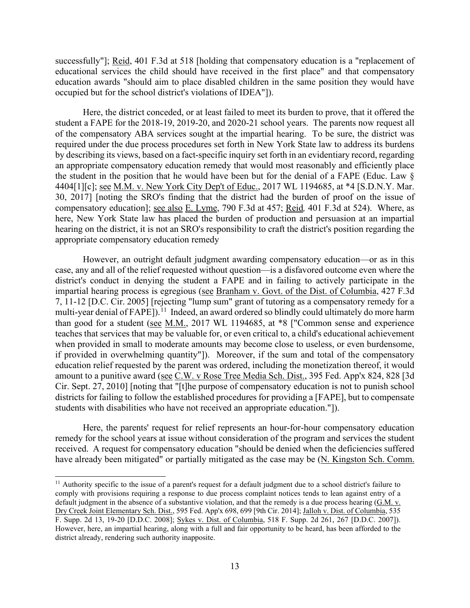occupied but for the school district's violations of IDEA"]). successfully"]; Reid, 401 F.3d at 518 [holding that compensatory education is a "replacement of educational services the child should have received in the first place" and that compensatory education awards "should aim to place disabled children in the same position they would have

 student a FAPE for the 2018-19, 2019-20, and 2020-21 school years. The parents now request all 4404[1][c]; <u>see M.M. v. New York City Dep't of Educ.</u>, 2017 WL 1194685, at \*4 [S.D.N.Y. Mar. Here, the district conceded, or at least failed to meet its burden to prove, that it offered the of the compensatory ABA services sought at the impartial hearing. To be sure, the district was required under the due process procedures set forth in New York State law to address its burdens by describing its views, based on a fact-specific inquiry set forth in an evidentiary record, regarding an appropriate compensatory education remedy that would most reasonably and efficiently place the student in the position that he would have been but for the denial of a FAPE (Educ. Law § 30, 2017] [noting the SRO's finding that the district had the burden of proof on the issue of compensatory education]; see also E. Lyme, 790 F.3d at 457; Reid*,* 401 F.3d at 524). Where, as here, New York State law has placed the burden of production and persuasion at an impartial hearing on the district, it is not an SRO's responsibility to craft the district's position regarding the appropriate compensatory education remedy

 case, any and all of the relief requested without question—is a disfavored outcome even where the 7, 11-12 [D.C. Cir. 2005] [rejecting "lump sum" grant of tutoring as a compensatory remedy for a multi-year denial of  ${\rm FAPE}$ ]).<sup>[11](#page-12-0)</sup> Indeed, an award ordered so blindly could ultimately do more harm However, an outright default judgment awarding compensatory education—or as in this district's conduct in denying the student a FAPE and in failing to actively participate in the impartial hearing process is egregious (see Branham v. Govt. of the Dist. of Columbia, 427 F.3d than good for a student (see M.M., 2017 WL 1194685, at \*8 ["Common sense and experience teaches that services that may be valuable for, or even critical to, a child's educational achievement when provided in small to moderate amounts may become close to useless, or even burdensome, if provided in overwhelming quantity"]). Moreover, if the sum and total of the compensatory education relief requested by the parent was ordered, including the monetization thereof, it would amount to a punitive award (see C.W. v Rose Tree Media Sch. Dist., 395 Fed. App'x 824, 828 [3d Cir. Sept. 27, 2010] [noting that "[t]he purpose of compensatory education is not to punish school districts for failing to follow the established procedures for providing a [FAPE], but to compensate students with disabilities who have not received an appropriate education."]).

Here, the parents' request for relief represents an hour-for-hour compensatory education remedy for the school years at issue without consideration of the program and services the student received. A request for compensatory education "should be denied when the deficiencies suffered have already been mitigated" or partially mitigated as the case may be (N. Kingston Sch. Comm.

<span id="page-12-0"></span> comply with provisions requiring a response to due process complaint notices tends to lean against entry of a Dry Creek Joint Elementary Sch. Dist., 595 Fed. App'x 698, 699 [9th Cir. 2014]; Jalloh v. Dist. of Columbia, 535 F. Supp. 2d 13, 19-20 [D.D.C. 2008]; Sykes v. Dist. of Columbia, 518 F. Supp. 2d 261, 267 [D.D.C. 2007]).  $11$  Authority specific to the issue of a parent's request for a default judgment due to a school district's failure to default judgment in the absence of a substantive violation, and that the remedy is a due process hearing  $(G.M. v.$ However, here, an impartial hearing, along with a full and fair opportunity to be heard, has been afforded to the district already, rendering such authority inapposite.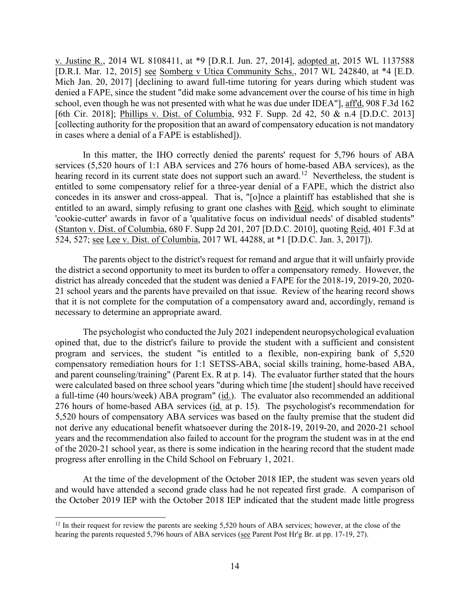v. Justine R., 2014 WL 8108411, at \*9 [D.R.I. Jun. 27, 2014], adopted at, 2015 WL 1137588 [D.R.I. Mar. 12, 2015] see Somberg v Utica Community Schs., 2017 WL 242840, at \*4 [E.D. Mich Jan. 20, 2017] [declining to award full-time tutoring for years during which student was denied a FAPE, since the student "did make some advancement over the course of his time in high school, even though he was not presented with what he was due under IDEA"], aff'd, 908 F.3d 162 [6th Cir. 2018]; Phillips v. Dist. of Columbia, 932 F. Supp. 2d 42, 50 & n.4 [D.D.C. 2013] [collecting authority for the proposition that an award of compensatory education is not mandatory in cases where a denial of a FAPE is established]).

 In this matter, the IHO correctly denied the parents' request for 5,796 hours of ABA services (5,520 hours of 1:1 ABA services and 276 hours of home-based ABA services), as the hearing record in its current state does not support such an award.<sup>12</sup> Nevertheless, the student is concedes in its answer and cross-appeal. That is, "[o]nce a plaintiff has established that she is 524, 527; see Lee v. Dist. of Columbia, 2017 WL 44288, at \*1 [D.D.C. Jan. 3, 2017]). entitled to some compensatory relief for a three-year denial of a FAPE, which the district also entitled to an award, simply refusing to grant one clashes with Reid, which sought to eliminate 'cookie-cutter' awards in favor of a 'qualitative focus on individual needs' of disabled students" (Stanton v. Dist. of Columbia, 680 F. Supp 2d 201, 207 [D.D.C. 2010], quoting Reid, 401 F.3d at

 21 school years and the parents have prevailed on that issue. Review of the hearing record shows The parents object to the district's request for remand and argue that it will unfairly provide the district a second opportunity to meet its burden to offer a compensatory remedy. However, the district has already conceded that the student was denied a FAPE for the 2018-19, 2019-20, 2020 that it is not complete for the computation of a compensatory award and, accordingly, remand is necessary to determine an appropriate award.

 progress after enrolling in the Child School on February 1, 2021. The psychologist who conducted the July 2021 independent neuropsychological evaluation opined that, due to the district's failure to provide the student with a sufficient and consistent program and services, the student "is entitled to a flexible, non-expiring bank of 5,520 compensatory remediation hours for 1:1 SETSS-ABA, social skills training, home-based ABA, and parent counseling/training" (Parent Ex. R at p. 14). The evaluator further stated that the hours were calculated based on three school years "during which time [the student] should have received a full-time (40 hours/week) ABA program" (id.). The evaluator also recommended an additional 276 hours of home-based ABA services (id. at p. 15). The psychologist's recommendation for 5,520 hours of compensatory ABA services was based on the faulty premise that the student did not derive any educational benefit whatsoever during the 2018-19, 2019-20, and 2020-21 school years and the recommendation also failed to account for the program the student was in at the end of the 2020-21 school year, as there is some indication in the hearing record that the student made

At the time of the development of the October 2018 IEP, the student was seven years old and would have attended a second grade class had he not repeated first grade. A comparison of the October 2019 IEP with the October 2018 IEP indicated that the student made little progress

<span id="page-13-0"></span><sup>&</sup>lt;sup>12</sup> In their request for review the parents are seeking 5,520 hours of ABA services; however, at the close of the hearing the parents requested 5,796 hours of ABA services (see Parent Post Hr'g Br. at pp. 17-19, 27).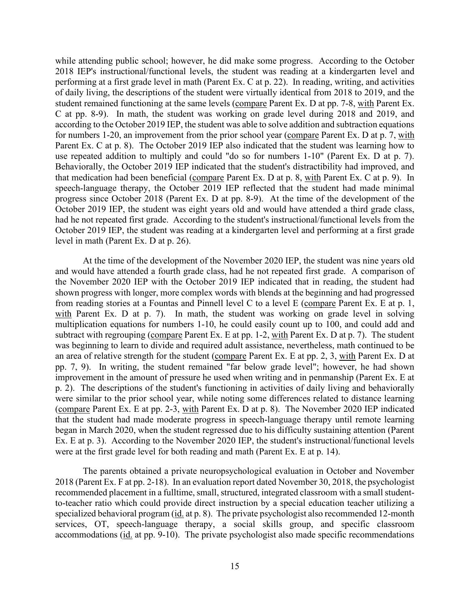while attending public school; however, he did make some progress. According to the October performing at a first grade level in math (Parent Ex. C at p. 22). In reading, writing, and activities student remained functioning at the same levels (compare Parent Ex. D at pp. 7-8, with Parent Ex. use repeated addition to multiply and could "do so for numbers 1-10" (Parent Ex. D at p. 7). progress since October 2018 (Parent Ex. D at pp. 8-9). At the time of the development of the 2018 IEP's instructional/functional levels, the student was reading at a kindergarten level and of daily living, the descriptions of the student were virtually identical from 2018 to 2019, and the C at pp. 8-9). In math, the student was working on grade level during 2018 and 2019, and according to the October 2019 IEP, the student was able to solve addition and subtraction equations for numbers 1-20, an improvement from the prior school year (compare Parent Ex. D at p. 7, with Parent Ex. C at p. 8). The October 2019 IEP also indicated that the student was learning how to Behaviorally, the October 2019 IEP indicated that the student's distractibility had improved, and that medication had been beneficial (compare Parent Ex. D at p. 8, with Parent Ex. C at p. 9). In speech-language therapy, the October 2019 IEP reflected that the student had made minimal October 2019 IEP, the student was eight years old and would have attended a third grade class, had he not repeated first grade. According to the student's instructional/functional levels from the October 2019 IEP, the student was reading at a kindergarten level and performing at a first grade level in math (Parent Ex. D at p. 26).

with Parent Ex. D at p. 7). In math, the student was working on grade level in solving pp. 7, 9). In writing, the student remained "far below grade level"; however, he had shown (compare Parent Ex. E at pp. 2-3, with Parent Ex. D at p. 8). The November 2020 IEP indicated were at the first grade level for both reading and math (Parent Ex. E at p. 14). At the time of the development of the November 2020 IEP, the student was nine years old and would have attended a fourth grade class, had he not repeated first grade. A comparison of the November 2020 IEP with the October 2019 IEP indicated that in reading, the student had shown progress with longer, more complex words with blends at the beginning and had progressed from reading stories at a Fountas and Pinnell level C to a level E (compare Parent Ex. E at p. 1, multiplication equations for numbers 1-10, he could easily count up to 100, and could add and subtract with regrouping (compare Parent Ex. E at pp. 1-2, with Parent Ex. D at p. 7). The student was beginning to learn to divide and required adult assistance, nevertheless, math continued to be an area of relative strength for the student (compare Parent Ex. E at pp. 2, 3, with Parent Ex. D at improvement in the amount of pressure he used when writing and in penmanship (Parent Ex. E at p. 2). The descriptions of the student's functioning in activities of daily living and behaviorally were similar to the prior school year, while noting some differences related to distance learning that the student had made moderate progress in speech-language therapy until remote learning began in March 2020, when the student regressed due to his difficulty sustaining attention (Parent Ex. E at p. 3). According to the November 2020 IEP, the student's instructional/functional levels

 2018 (Parent Ex. F at pp. 2-18). In an evaluation report dated November 30, 2018, the psychologist recommended placement in a fulltime, small, structured, integrated classroom with a small student-The parents obtained a private neuropsychological evaluation in October and November to-teacher ratio which could provide direct instruction by a special education teacher utilizing a specialized behavioral program (id. at p. 8). The private psychologist also recommended 12-month services, OT, speech-language therapy, a social skills group, and specific classroom accommodations (id. at pp. 9-10). The private psychologist also made specific recommendations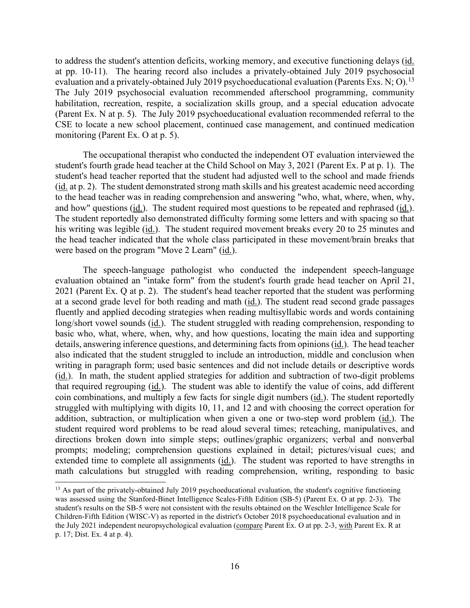to address the student's attention deficits, working memory, and executive functioning delays (*id.* evaluation and a privately-obtained July 2019 psychoeducational evaluation (Parents Exs. N; O).<sup>[13](#page-15-0)</sup> at pp. 10-11). The hearing record also includes a privately-obtained July 2019 psychosocial The July 2019 psychosocial evaluation recommended afterschool programming, community habilitation, recreation, respite, a socialization skills group, and a special education advocate (Parent Ex. N at p. 5). The July 2019 psychoeducational evaluation recommended referral to the CSE to locate a new school placement, continued case management, and continued medication monitoring (Parent Ex. O at p. 5).

and how" questions (id.). The student required most questions to be repeated and rephrased (id.). The occupational therapist who conducted the independent OT evaluation interviewed the student's fourth grade head teacher at the Child School on May 3, 2021 (Parent Ex. P at p. 1). The student's head teacher reported that the student had adjusted well to the school and made friends (id. at p. 2). The student demonstrated strong math skills and his greatest academic need according to the head teacher was in reading comprehension and answering "who, what, where, when, why, The student reportedly also demonstrated difficulty forming some letters and with spacing so that his writing was legible (id.). The student required movement breaks every 20 to 25 minutes and the head teacher indicated that the whole class participated in these movement/brain breaks that were based on the program "Move 2 Learn" (id.).

(id.). In math, the student applied strategies for addition and subtraction of two-digit problems directions broken down into simple steps; outlines/graphic organizers; verbal and nonverbal The speech-language pathologist who conducted the independent speech-language evaluation obtained an "intake form" from the student's fourth grade head teacher on April 21, 2021 (Parent Ex. Q at p. 2). The student's head teacher reported that the student was performing at a second grade level for both reading and math (id.). The student read second grade passages fluently and applied decoding strategies when reading multisyllabic words and words containing long/short vowel sounds (id.). The student struggled with reading comprehension, responding to basic who, what, where, when, why, and how questions, locating the main idea and supporting details, answering inference questions, and determining facts from opinions (id.). The head teacher also indicated that the student struggled to include an introduction, middle and conclusion when writing in paragraph form; used basic sentences and did not include details or descriptive words that required regrouping (id.). The student was able to identify the value of coins, add different coin combinations, and multiply a few facts for single digit numbers (id.). The student reportedly struggled with multiplying with digits 10, 11, and 12 and with choosing the correct operation for addition, subtraction, or multiplication when given a one or two-step word problem (id.). The student required word problems to be read aloud several times; reteaching, manipulatives, and prompts; modeling; comprehension questions explained in detail; pictures/visual cues; and extended time to complete all assignments (id.). The student was reported to have strengths in math calculations but struggled with reading comprehension, writing, responding to basic

<span id="page-15-0"></span><sup>&</sup>lt;sup>13</sup> As part of the privately-obtained July 2019 psychoeducational evaluation, the student's cognitive functioning was assessed using the Stanford-Binet Intelligence Scales-Fifth Edition (SB-5) (Parent Ex. O at pp. 2-3). The student's results on the SB-5 were not consistent with the results obtained on the Weschler Intelligence Scale for Children-Fifth Edition (WISC-V) as reported in the district's October 2018 psychoeducational evaluation and in the July 2021 independent neuropsychological evaluation (compare Parent Ex. O at pp. 2-3, with Parent Ex. R at p. 17; Dist. Ex. 4 at p. 4).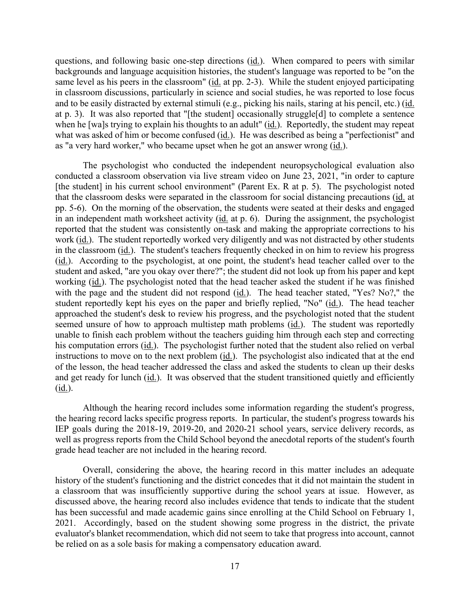in classroom discussions, particularly in science and social studies, he was reported to lose focus questions, and following basic one-step directions (id.). When compared to peers with similar backgrounds and language acquisition histories, the student's language was reported to be "on the same level as his peers in the classroom" (id. at pp. 2-3). While the student enjoyed participating and to be easily distracted by external stimuli (e.g., picking his nails, staring at his pencil, etc.) (id. at p. 3). It was also reported that "[the student] occasionally struggle[d] to complete a sentence when he [wa]s trying to explain his thoughts to an adult" (id.). Reportedly, the student may repeat what was asked of him or become confused (id.). He was described as being a "perfectionist" and as "a very hard worker," who became upset when he got an answer wrong (id.).

in an independent math worksheet activity (id. at p. 6). During the assignment, the psychologist student and asked, "are you okay over there?"; the student did not look up from his paper and kept The psychologist who conducted the independent neuropsychological evaluation also conducted a classroom observation via live stream video on June 23, 2021, "in order to capture [the student] in his current school environment" (Parent Ex. R at p. 5). The psychologist noted that the classroom desks were separated in the classroom for social distancing precautions (id. at pp. 5-6). On the morning of the observation, the students were seated at their desks and engaged reported that the student was consistently on-task and making the appropriate corrections to his work (id.). The student reportedly worked very diligently and was not distracted by other students in the classroom (id.). The student's teachers frequently checked in on him to review his progress (id.). According to the psychologist, at one point, the student's head teacher called over to the working (id.). The psychologist noted that the head teacher asked the student if he was finished with the page and the student did not respond (id.). The head teacher stated, "Yes? No?," the student reportedly kept his eyes on the paper and briefly replied, "No" (id.). The head teacher approached the student's desk to review his progress, and the psychologist noted that the student seemed unsure of how to approach multistep math problems (id.). The student was reportedly unable to finish each problem without the teachers guiding him through each step and correcting his computation errors (id.). The psychologist further noted that the student also relied on verbal instructions to move on to the next problem (id.). The psychologist also indicated that at the end of the lesson, the head teacher addressed the class and asked the students to clean up their desks and get ready for lunch (id.). It was observed that the student transitioned quietly and efficiently  $(id.)$ .

Although the hearing record includes some information regarding the student's progress, the hearing record lacks specific progress reports. In particular, the student's progress towards his IEP goals during the 2018-19, 2019-20, and 2020-21 school years, service delivery records, as well as progress reports from the Child School beyond the anecdotal reports of the student's fourth grade head teacher are not included in the hearing record.

 has been successful and made academic gains since enrolling at the Child School on February 1, Overall, considering the above, the hearing record in this matter includes an adequate history of the student's functioning and the district concedes that it did not maintain the student in a classroom that was insufficiently supportive during the school years at issue. However, as discussed above, the hearing record also includes evidence that tends to indicate that the student 2021. Accordingly, based on the student showing some progress in the district, the private evaluator's blanket recommendation, which did not seem to take that progress into account, cannot be relied on as a sole basis for making a compensatory education award.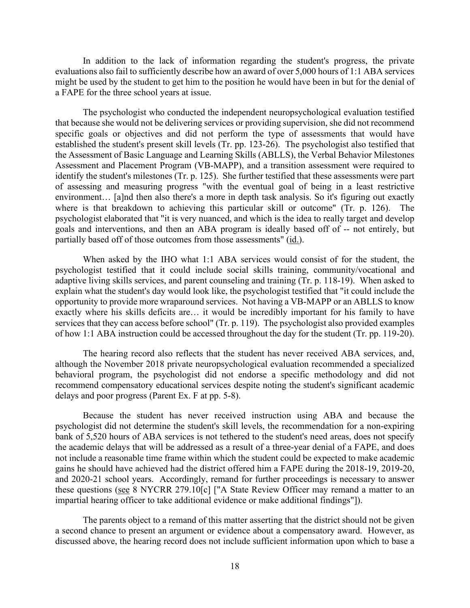In addition to the lack of information regarding the student's progress, the private evaluations also fail to sufficiently describe how an award of over 5,000 hours of 1:1 ABA services might be used by the student to get him to the position he would have been in but for the denial of a FAPE for the three school years at issue.

 the Assessment of Basic Language and Learning Skills (ABLLS), the Verbal Behavior Milestones goals and interventions, and then an ABA program is ideally based off of -- not entirely, but The psychologist who conducted the independent neuropsychological evaluation testified that because she would not be delivering services or providing supervision, she did not recommend specific goals or objectives and did not perform the type of assessments that would have established the student's present skill levels (Tr. pp. 123-26). The psychologist also testified that Assessment and Placement Program (VB-MAPP), and a transition assessment were required to identify the student's milestones (Tr. p. 125). She further testified that these assessments were part of assessing and measuring progress "with the eventual goal of being in a least restrictive environment… [a]nd then also there's a more in depth task analysis. So it's figuring out exactly where is that breakdown to achieving this particular skill or outcome" (Tr. p. 126). The psychologist elaborated that "it is very nuanced, and which is the idea to really target and develop partially based off of those outcomes from those assessments" (id.).

 When asked by the IHO what 1:1 ABA services would consist of for the student, the psychologist testified that it could include social skills training, community/vocational and adaptive living skills services, and parent counseling and training (Tr. p. 118-19). When asked to explain what the student's day would look like, the psychologist testified that "it could include the opportunity to provide more wraparound services. Not having a VB-MAPP or an ABLLS to know exactly where his skills deficits are… it would be incredibly important for his family to have services that they can access before school" (Tr. p. 119). The psychologist also provided examples of how 1:1 ABA instruction could be accessed throughout the day for the student (Tr. pp. 119-20).

 The hearing record also reflects that the student has never received ABA services, and, although the November 2018 private neuropsychological evaluation recommended a specialized behavioral program, the psychologist did not endorse a specific methodology and did not recommend compensatory educational services despite noting the student's significant academic delays and poor progress (Parent Ex. F at pp. 5-8).

 and 2020-21 school years. Accordingly, remand for further proceedings is necessary to answer these questions (see 8 NYCRR 279.10[c] ["A State Review Officer may remand a matter to an Because the student has never received instruction using ABA and because the psychologist did not determine the student's skill levels, the recommendation for a non-expiring bank of 5,520 hours of ABA services is not tethered to the student's need areas, does not specify the academic delays that will be addressed as a result of a three-year denial of a FAPE, and does not include a reasonable time frame within which the student could be expected to make academic gains he should have achieved had the district offered him a FAPE during the 2018-19, 2019-20, impartial hearing officer to take additional evidence or make additional findings"]).

The parents object to a remand of this matter asserting that the district should not be given a second chance to present an argument or evidence about a compensatory award. However, as discussed above, the hearing record does not include sufficient information upon which to base a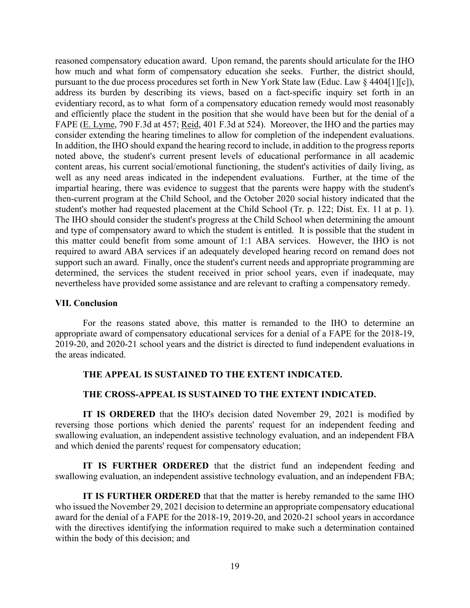reasoned compensatory education award. Upon remand, the parents should articulate for the IHO consider extending the hearing timelines to allow for completion of the independent evaluations. student's mother had requested placement at the Child School (Tr. p. 122; Dist. Ex. 11 at p. 1). student's mother had requested placement at the Child School (Tr. p. 122; Dist. Ex. 11 at p. 1). The IHO should consider the student's progress at the Child School when determining the amount and type of compensatory award to which the student is entitled. It is possible that the student in this matter could benefit from some amount of 1:1 ABA services. However, the IHO is not how much and what form of compensatory education she seeks. Further, the district should, pursuant to the due process procedures set forth in New York State law (Educ. Law § 4404[1][c]), address its burden by describing its views, based on a fact-specific inquiry set forth in an evidentiary record, as to what form of a compensatory education remedy would most reasonably and efficiently place the student in the position that she would have been but for the denial of a FAPE (E. Lyme, 790 F.3d at 457; Reid, 401 F.3d at 524). Moreover, the IHO and the parties may In addition, the IHO should expand the hearing record to include, in addition to the progress reports. noted above, the student's current present levels of educational performance in all academic content areas, his current social/emotional functioning, the student's activities of daily living, as well as any need areas indicated in the independent evaluations. Further, at the time of the impartial hearing, there was evidence to suggest that the parents were happy with the student's then-current program at the Child School, and the October 2020 social history indicated that the required to award ABA services if an adequately developed hearing record on remand does not support such an award. Finally, once the student's current needs and appropriate programming are determined, the services the student received in prior school years, even if inadequate, may nevertheless have provided some assistance and are relevant to crafting a compensatory remedy.

### **VII. Conclusion**

 For the reasons stated above, this matter is remanded to the IHO to determine an appropriate award of compensatory educational services for a denial of a FAPE for the 2018-19, 2019-20, and 2020-21 school years and the district is directed to fund independent evaluations in the areas indicated.

### **THE APPEAL IS SUSTAINED TO THE EXTENT INDICATED.**

## **THE CROSS-APPEAL IS SUSTAINED TO THE EXTENT INDICATED.**

 **IT IS ORDERED** that the IHO's decision dated November 29, 2021 is modified by reversing those portions which denied the parents' request for an independent feeding and swallowing evaluation, an independent assistive technology evaluation, and an independent FBA and which denied the parents' request for compensatory education;

 swallowing evaluation, an independent assistive technology evaluation, and an independent FBA; **IT IS FURTHER ORDERED** that the district fund an independent feeding and

 **IT IS FURTHER ORDERED** that that the matter is hereby remanded to the same IHO who issued the November 29, 2021 decision to determine an appropriate compensatory educational award for the denial of a FAPE for the 2018-19, 2019-20, and 2020-21 school years in accordance with the directives identifying the information required to make such a determination contained within the body of this decision; and